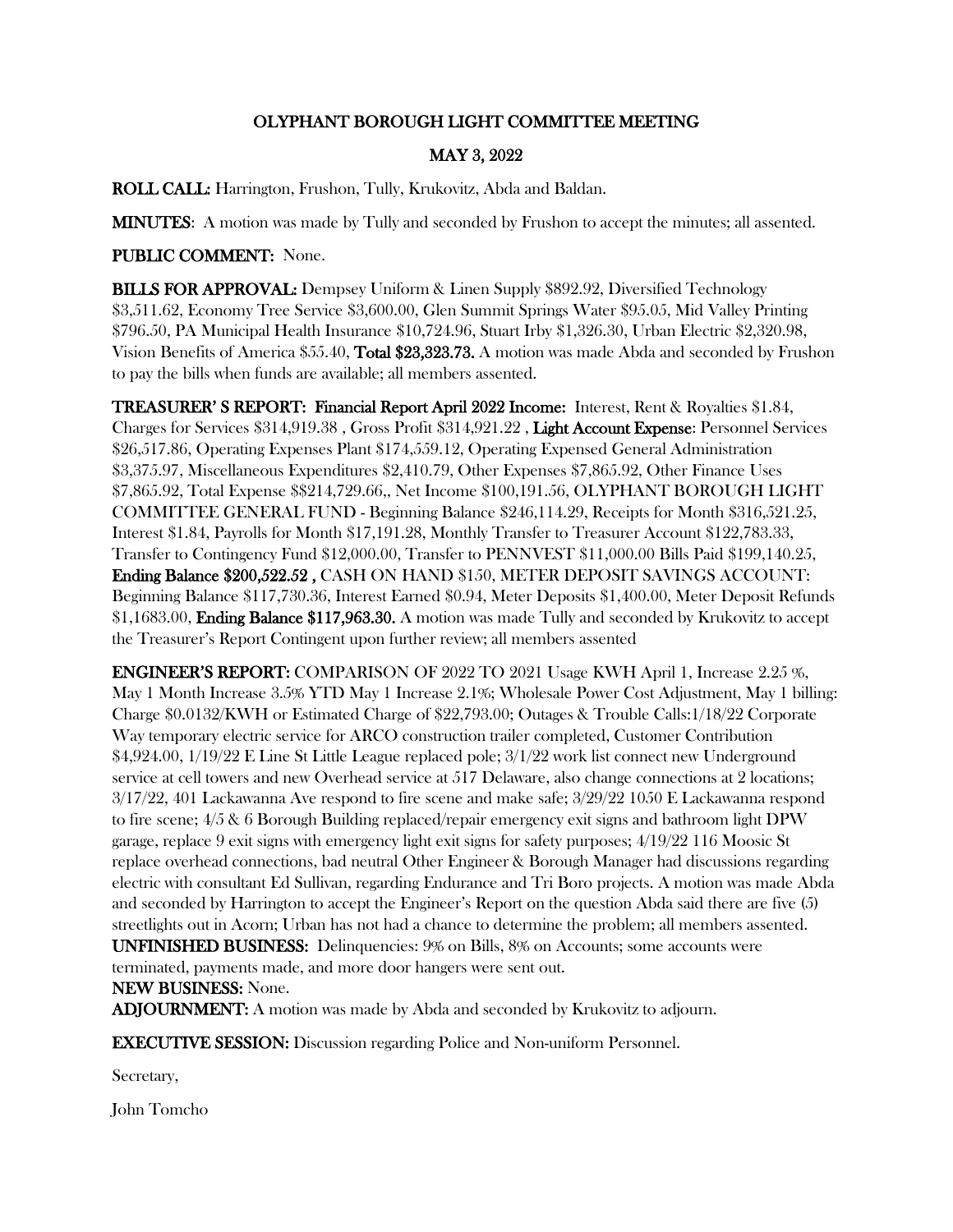## OLYPHANT BOROUGH LIGHT COMMITTEE MEETING

## MAY 3, 2022

ROLL CALL: Harrington, Frushon, Tully, Krukovitz, Abda and Baldan.

MINUTES: A motion was made by Tully and seconded by Frushon to accept the minutes; all assented.

## PUBLIC COMMENT: None.

BILLS FOR APPROVAL: Dempsey Uniform & Linen Supply \$892.92, Diversified Technology \$3,511.62, Economy Tree Service \$3,600.00, Glen Summit Springs Water \$95.05, Mid Valley Printing \$796.50, PA Municipal Health Insurance \$10,724.96, Stuart Irby \$1,326.30, Urban Electric \$2,320.98, Vision Benefits of America \$55.40, Total \$23,323.73. A motion was made Abda and seconded by Frushon to pay the bills when funds are available; all members assented.

TREASURER' S REPORT: Financial Report April 2022 Income: Interest, Rent & Royalties \$1.84, Charges for Services \$314,919.38 , Gross Profit \$314,921.22 , Light Account Expense: Personnel Services \$26,517.86, Operating Expenses Plant \$174,559.12, Operating Expensed General Administration \$3,375.97, Miscellaneous Expenditures \$2,410.79, Other Expenses \$7,865.92, Other Finance Uses \$7,865.92, Total Expense \$\$214,729.66,, Net Income \$100,191.56, OLYPHANT BOROUGH LIGHT COMMITTEE GENERAL FUND - Beginning Balance \$246,114.29, Receipts for Month \$316,521.25, Interest \$1.84, Payrolls for Month \$17,191.28, Monthly Transfer to Treasurer Account \$122,783.33, Transfer to Contingency Fund \$12,000.00, Transfer to PENNVEST \$11,000.00 Bills Paid \$199,140.25, Ending Balance \$200,522.52 , CASH ON HAND \$150, METER DEPOSIT SAVINGS ACCOUNT: Beginning Balance \$117,730.36, Interest Earned \$0.94, Meter Deposits \$1,400.00, Meter Deposit Refunds \$1,1683.00, Ending Balance \$117,963.30. A motion was made Tully and seconded by Krukovitz to accept the Treasurer's Report Contingent upon further review; all members assented

ENGINEER'S REPORT: COMPARISON OF 2022 TO 2021 Usage KWH April 1, Increase 2.25 %, May 1 Month Increase 3.5% YTD May 1 Increase 2.1%; Wholesale Power Cost Adjustment, May 1 billing: Charge \$0.0132/KWH or Estimated Charge of \$22,793.00; Outages & Trouble Calls:1/18/22 Corporate Way temporary electric service for ARCO construction trailer completed, Customer Contribution \$4,924.00, 1/19/22 E Line St Little League replaced pole; 3/1/22 work list connect new Underground service at cell towers and new Overhead service at 517 Delaware, also change connections at 2 locations; 3/17/22, 401 Lackawanna Ave respond to fire scene and make safe; 3/29/22 1050 E Lackawanna respond to fire scene; 4/5 & 6 Borough Building replaced/repair emergency exit signs and bathroom light DPW garage, replace 9 exit signs with emergency light exit signs for safety purposes; 4/19/22 116 Moosic St replace overhead connections, bad neutral Other Engineer & Borough Manager had discussions regarding electric with consultant Ed Sullivan, regarding Endurance and Tri Boro projects. A motion was made Abda and seconded by Harrington to accept the Engineer's Report on the question Abda said there are five (5) streetlights out in Acorn; Urban has not had a chance to determine the problem; all members assented. UNFINISHED BUSINESS: Delinquencies: 9% on Bills, 8% on Accounts; some accounts were terminated, payments made, and more door hangers were sent out. NEW BUSINESS: None.

**ADJOURNMENT:** A motion was made by Abda and seconded by Krukovitz to adjourn.

EXECUTIVE SESSION: Discussion regarding Police and Non-uniform Personnel.

Secretary,

John Tomcho